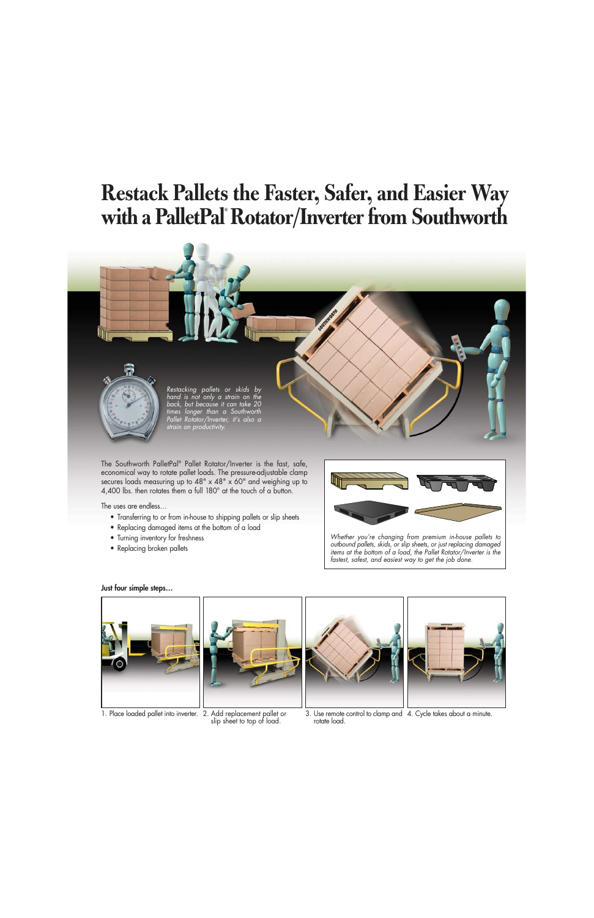# **Restack Pallets the Faster, Safer, and Easier Way with a PalletPal® Rotator/Inverter from Southworth**



The Southworth PalletPal® Pallet Rotator/Inverter is the fast, safe, economical way to rotate pallet loads. The pressure-adjustable clamp secures loads measuring up to 48" x 48" x 60" and weighing up to 4,400 lbs. then rotates them a full 180° at the touch of a button.

The uses are endless…

- Transferring to or from in-house to shipping pallets or slip sheets
- Replacing damaged items at the bottom of a load
- Turning inventory for freshness
- Replacing broken pallets



Whether you're changing from premium in-house pallets to outbound pallets, skids, or slip sheets, or just replacing damaged items at the bottom of a load, the Pallet Rotator/Inverter is the fastest, safest, and easiest way to get the job done.



1. Place loaded pallet into inverter. 2. Add replacement pallet or



slip sheet to top of load.





3. Use remote control to clamp and 4. Cycle takes about a minute. rotate load.

#### Just four simple steps…